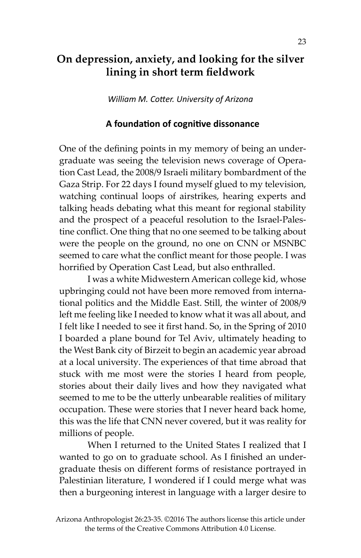# **On depression, anxiety, and looking for the silver lining in short term fieldwork**

*William M. Cotter. University of Arizona*

#### **A foundation of cognitive dissonance**

One of the defining points in my memory of being an undergraduate was seeing the television news coverage of Operation Cast Lead, the 2008/9 Israeli military bombardment of the Gaza Strip. For 22 days I found myself glued to my television, watching continual loops of airstrikes, hearing experts and talking heads debating what this meant for regional stability and the prospect of a peaceful resolution to the Israel-Palestine conflict. One thing that no one seemed to be talking about were the people on the ground, no one on CNN or MSNBC seemed to care what the conflict meant for those people. I was horrified by Operation Cast Lead, but also enthralled.

I was a white Midwestern American college kid, whose upbringing could not have been more removed from international politics and the Middle East. Still, the winter of 2008/9 left me feeling like I needed to know what it was all about, and I felt like I needed to see it first hand. So, in the Spring of 2010 I boarded a plane bound for Tel Aviv, ultimately heading to the West Bank city of Birzeit to begin an academic year abroad at a local university. The experiences of that time abroad that stuck with me most were the stories I heard from people, stories about their daily lives and how they navigated what seemed to me to be the utterly unbearable realities of military occupation. These were stories that I never heard back home, this was the life that CNN never covered, but it was reality for millions of people.

When I returned to the United States I realized that I wanted to go on to graduate school. As I finished an undergraduate thesis on different forms of resistance portrayed in Palestinian literature, I wondered if I could merge what was then a burgeoning interest in language with a larger desire to

Arizona Anthropologist 26:23-35. ©2016 The authors license this article under the terms of the Creative Commons Attribution 4.0 License.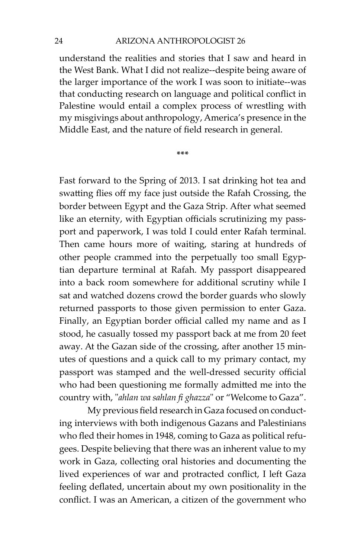understand the realities and stories that I saw and heard in the West Bank. What I did not realize--despite being aware of the larger importance of the work I was soon to initiate--was that conducting research on language and political conflict in Palestine would entail a complex process of wrestling with my misgivings about anthropology, America's presence in the Middle East, and the nature of field research in general.

**\*\*\***

Fast forward to the Spring of 2013. I sat drinking hot tea and swatting flies off my face just outside the Rafah Crossing, the border between Egypt and the Gaza Strip. After what seemed like an eternity, with Egyptian officials scrutinizing my passport and paperwork, I was told I could enter Rafah terminal. Then came hours more of waiting, staring at hundreds of other people crammed into the perpetually too small Egyptian departure terminal at Rafah. My passport disappeared into a back room somewhere for additional scrutiny while I sat and watched dozens crowd the border guards who slowly returned passports to those given permission to enter Gaza. Finally, an Egyptian border official called my name and as I stood, he casually tossed my passport back at me from 20 feet away. At the Gazan side of the crossing, after another 15 minutes of questions and a quick call to my primary contact, my passport was stamped and the well-dressed security official who had been questioning me formally admitted me into the country with, "*ahlan wa sahlan fi ghazza*" or "Welcome to Gaza".

My previous field research in Gaza focused on conducting interviews with both indigenous Gazans and Palestinians who fled their homes in 1948, coming to Gaza as political refugees. Despite believing that there was an inherent value to my work in Gaza, collecting oral histories and documenting the lived experiences of war and protracted conflict, I left Gaza feeling deflated, uncertain about my own positionality in the conflict. I was an American, a citizen of the government who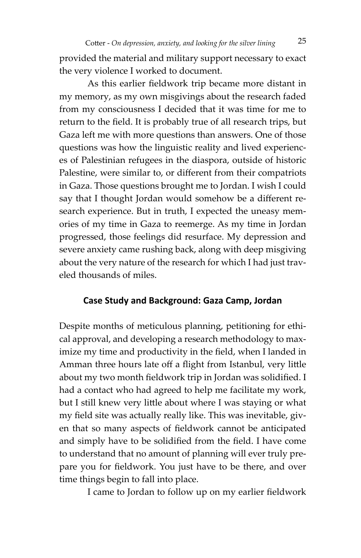Cotter - *On depression, anxiety, and looking for the silver lining* 25

provided the material and military support necessary to exact the very violence I worked to document.

As this earlier fieldwork trip became more distant in my memory, as my own misgivings about the research faded from my consciousness I decided that it was time for me to return to the field. It is probably true of all research trips, but Gaza left me with more questions than answers. One of those questions was how the linguistic reality and lived experiences of Palestinian refugees in the diaspora, outside of historic Palestine, were similar to, or different from their compatriots in Gaza. Those questions brought me to Jordan. I wish I could say that I thought Jordan would somehow be a different research experience. But in truth, I expected the uneasy memories of my time in Gaza to reemerge. As my time in Jordan progressed, those feelings did resurface. My depression and severe anxiety came rushing back, along with deep misgiving about the very nature of the research for which I had just traveled thousands of miles.

#### **Case Study and Background: Gaza Camp, Jordan**

Despite months of meticulous planning, petitioning for ethical approval, and developing a research methodology to maximize my time and productivity in the field, when I landed in Amman three hours late off a flight from Istanbul, very little about my two month fieldwork trip in Jordan was solidified. I had a contact who had agreed to help me facilitate my work, but I still knew very little about where I was staying or what my field site was actually really like. This was inevitable, given that so many aspects of fieldwork cannot be anticipated and simply have to be solidified from the field. I have come to understand that no amount of planning will ever truly prepare you for fieldwork. You just have to be there, and over time things begin to fall into place.

I came to Jordan to follow up on my earlier fieldwork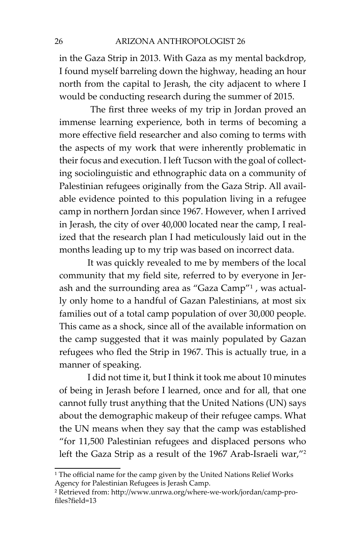in the Gaza Strip in 2013. With Gaza as my mental backdrop, I found myself barreling down the highway, heading an hour north from the capital to Jerash, the city adjacent to where I would be conducting research during the summer of 2015.

 The first three weeks of my trip in Jordan proved an immense learning experience, both in terms of becoming a more effective field researcher and also coming to terms with the aspects of my work that were inherently problematic in their focus and execution. I left Tucson with the goal of collecting sociolinguistic and ethnographic data on a community of Palestinian refugees originally from the Gaza Strip. All available evidence pointed to this population living in a refugee camp in northern Jordan since 1967. However, when I arrived in Jerash, the city of over 40,000 located near the camp, I realized that the research plan I had meticulously laid out in the months leading up to my trip was based on incorrect data.

It was quickly revealed to me by members of the local community that my field site, referred to by everyone in Jerash and the surrounding area as "Gaza Camp"1 , was actually only home to a handful of Gazan Palestinians, at most six families out of a total camp population of over 30,000 people. This came as a shock, since all of the available information on the camp suggested that it was mainly populated by Gazan refugees who fled the Strip in 1967. This is actually true, in a manner of speaking.

I did not time it, but I think it took me about 10 minutes of being in Jerash before I learned, once and for all, that one cannot fully trust anything that the United Nations (UN) says about the demographic makeup of their refugee camps. What the UN means when they say that the camp was established "for 11,500 Palestinian refugees and displaced persons who left the Gaza Strip as a result of the 1967 Arab-Israeli war,"2

<sup>&</sup>lt;sup>1</sup> The official name for the camp given by the United Nations Relief Works Agency for Palestinian Refugees is Jerash Camp.

² Retrieved from: http://www.unrwa.org/where-we-work/jordan/camp-profiles?field=13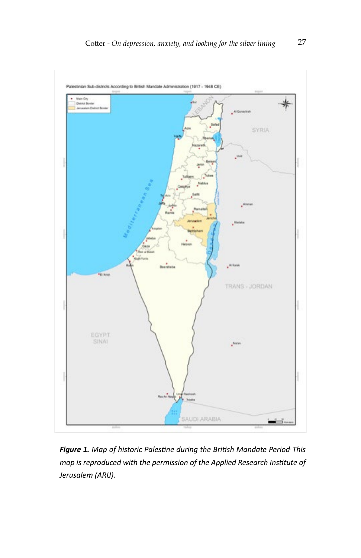

*Figure 1. Map of historic Palestine during the British Mandate Period. This map is reproduced with the permission of the Applied Research Institute of Jerusalem (ARIJ).*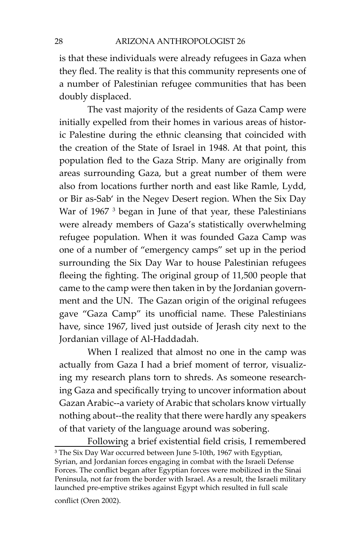is that these individuals were already refugees in Gaza when they fled. The reality is that this community represents one of a number of Palestinian refugee communities that has been doubly displaced.

The vast majority of the residents of Gaza Camp were initially expelled from their homes in various areas of historic Palestine during the ethnic cleansing that coincided with the creation of the State of Israel in 1948. At that point, this population fled to the Gaza Strip. Many are originally from areas surrounding Gaza, but a great number of them were also from locations further north and east like Ramle, Lydd, or Bir as-Sab' in the Negev Desert region. When the Six Day War of 1967<sup>3</sup> began in June of that year, these Palestinians were already members of Gaza's statistically overwhelming refugee population. When it was founded Gaza Camp was one of a number of "emergency camps" set up in the period surrounding the Six Day War to house Palestinian refugees fleeing the fighting. The original group of 11,500 people that came to the camp were then taken in by the Jordanian government and the UN. The Gazan origin of the original refugees gave "Gaza Camp" its unofficial name. These Palestinians have, since 1967, lived just outside of Jerash city next to the Jordanian village of Al-Haddadah.

When I realized that almost no one in the camp was actually from Gaza I had a brief moment of terror, visualizing my research plans torn to shreds. As someone researching Gaza and specifically trying to uncover information about Gazan Arabic--a variety of Arabic that scholars know virtually nothing about--the reality that there were hardly any speakers of that variety of the language around was sobering.

Following a brief existential field crisis, I remembered <sup>3</sup> The Six Day War occurred between June 5-10th, 1967 with Egyptian, Syrian, and Jordanian forces engaging in combat with the Israeli Defense Forces. The conflict began after Egyptian forces were mobilized in the Sinai Peninsula, not far from the border with Israel. As a result, the Israeli military launched pre-emptive strikes against Egypt which resulted in full scale

conflict (Oren 2002).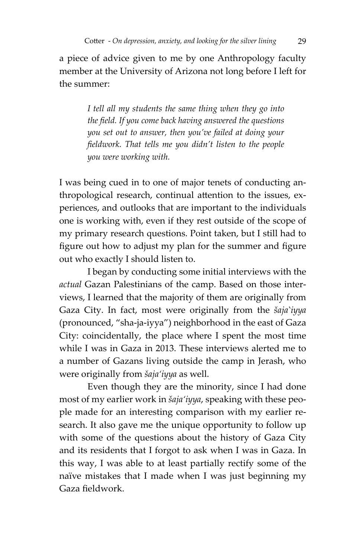a piece of advice given to me by one Anthropology faculty member at the University of Arizona not long before I left for the summer:

> *I tell all my students the same thing when they go into the field. If you come back having answered the questions you set out to answer, then you've failed at doing your fieldwork. That tells me you didn't listen to the people you were working with.*

I was being cued in to one of major tenets of conducting anthropological research, continual attention to the issues, experiences, and outlooks that are important to the individuals one is working with, even if they rest outside of the scope of my primary research questions. Point taken, but I still had to figure out how to adjust my plan for the summer and figure out who exactly I should listen to.

I began by conducting some initial interviews with the *actual* Gazan Palestinians of the camp. Based on those interviews, I learned that the majority of them are originally from Gaza City. In fact, most were originally from the *šaja'iyya* (pronounced, "sha-ja-iyya") neighborhood in the east of Gaza City: coincidentally, the place where I spent the most time while I was in Gaza in 2013. These interviews alerted me to a number of Gazans living outside the camp in Jerash, who were originally from *šaja'iyya* as well.

Even though they are the minority, since I had done most of my earlier work in *šaja'iyya*, speaking with these people made for an interesting comparison with my earlier research. It also gave me the unique opportunity to follow up with some of the questions about the history of Gaza City and its residents that I forgot to ask when I was in Gaza. In this way, I was able to at least partially rectify some of the naïve mistakes that I made when I was just beginning my Gaza fieldwork.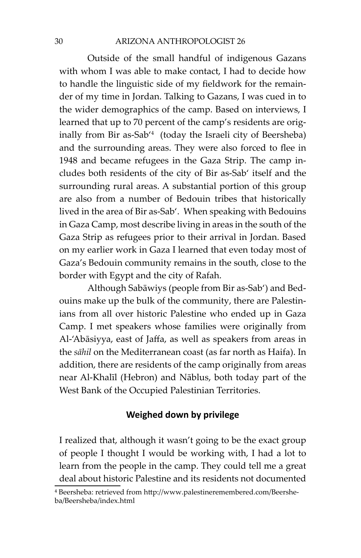Outside of the small handful of indigenous Gazans with whom I was able to make contact, I had to decide how to handle the linguistic side of my fieldwork for the remainder of my time in Jordan. Talking to Gazans, I was cued in to the wider demographics of the camp. Based on interviews, I learned that up to 70 percent of the camp's residents are originally from Bir as-Sab'4 (today the Israeli city of Beersheba) and the surrounding areas. They were also forced to flee in 1948 and became refugees in the Gaza Strip. The camp includes both residents of the city of Bir as-Sab' itself and the surrounding rural areas. A substantial portion of this group are also from a number of Bedouin tribes that historically lived in the area of Bir as-Sab'. When speaking with Bedouins in Gaza Camp, most describe living in areas in the south of the Gaza Strip as refugees prior to their arrival in Jordan. Based on my earlier work in Gaza I learned that even today most of Gaza's Bedouin community remains in the south, close to the border with Egypt and the city of Rafah.

Although Sabāwiys (people from Bir as-Sab') and Bedouins make up the bulk of the community, there are Palestinians from all over historic Palestine who ended up in Gaza Camp. I met speakers whose families were originally from Al-'Abāsiyya, east of Jaffa, as well as speakers from areas in the *sāhil* on the Mediterranean coast (as far north as Haifa). In addition, there are residents of the camp originally from areas near Al-Khalīl (Hebron) and Nāblus, both today part of the West Bank of the Occupied Palestinian Territories.

## **Weighed down by privilege**

I realized that, although it wasn't going to be the exact group of people I thought I would be working with, I had a lot to learn from the people in the camp. They could tell me a great deal about historic Palestine and its residents not documented

⁴ Beersheba: retrieved from http://www.palestineremembered.com/Beersheba/Beersheba/index.html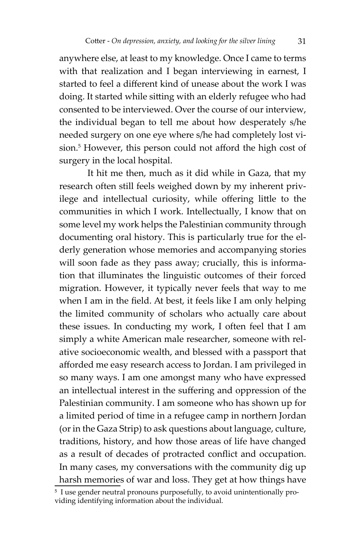anywhere else, at least to my knowledge. Once I came to terms with that realization and I began interviewing in earnest, I started to feel a different kind of unease about the work I was doing. It started while sitting with an elderly refugee who had consented to be interviewed. Over the course of our interview, the individual began to tell me about how desperately s/he needed surgery on one eye where s/he had completely lost vision.<sup>5</sup> However, this person could not afford the high cost of surgery in the local hospital.

It hit me then, much as it did while in Gaza, that my research often still feels weighed down by my inherent privilege and intellectual curiosity, while offering little to the communities in which I work. Intellectually, I know that on some level my work helps the Palestinian community through documenting oral history. This is particularly true for the elderly generation whose memories and accompanying stories will soon fade as they pass away; crucially, this is information that illuminates the linguistic outcomes of their forced migration. However, it typically never feels that way to me when I am in the field. At best, it feels like I am only helping the limited community of scholars who actually care about these issues. In conducting my work, I often feel that I am simply a white American male researcher, someone with relative socioeconomic wealth, and blessed with a passport that afforded me easy research access to Jordan. I am privileged in so many ways. I am one amongst many who have expressed an intellectual interest in the suffering and oppression of the Palestinian community. I am someone who has shown up for a limited period of time in a refugee camp in northern Jordan (or in the Gaza Strip) to ask questions about language, culture, traditions, history, and how those areas of life have changed as a result of decades of protracted conflict and occupation. In many cases, my conversations with the community dig up harsh memories of war and loss. They get at how things have

<sup>&</sup>lt;sup>5</sup> I use gender neutral pronouns purposefully, to avoid unintentionally providing identifying information about the individual.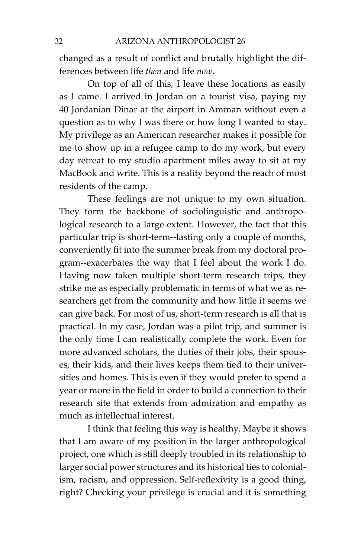changed as a result of conflict and brutally highlight the differences between life *then* and life *now*.

On top of all of this, I leave these locations as easily as I came. I arrived in Jordan on a tourist visa, paying my 40 Jordanian Dinar at the airport in Amman without even a question as to why I was there or how long I wanted to stay. My privilege as an American researcher makes it possible for me to show up in a refugee camp to do my work, but every day retreat to my studio apartment miles away to sit at my MacBook and write. This is a reality beyond the reach of most residents of the camp.

These feelings are not unique to my own situation. They form the backbone of sociolinguistic and anthropological research to a large extent. However, the fact that this particular trip is short-term--lasting only a couple of months, conveniently fit into the summer break from my doctoral program--exacerbates the way that I feel about the work I do. Having now taken multiple short-term research trips, they strike me as especially problematic in terms of what we as researchers get from the community and how little it seems we can give back. For most of us, short-term research is all that is practical. In my case, Jordan was a pilot trip, and summer is the only time I can realistically complete the work. Even for more advanced scholars, the duties of their jobs, their spouses, their kids, and their lives keeps them tied to their universities and homes. This is even if they would prefer to spend a year or more in the field in order to build a connection to their research site that extends from admiration and empathy as much as intellectual interest.

I think that feeling this way is healthy. Maybe it shows that I am aware of my position in the larger anthropological project, one which is still deeply troubled in its relationship to larger social power structures and its historical ties to colonialism, racism, and oppression. Self-reflexivity is a good thing, right? Checking your privilege is crucial and it is something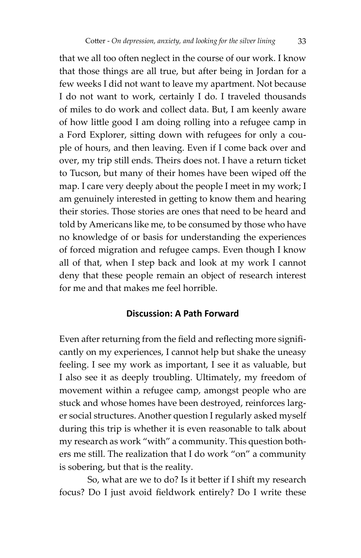that we all too often neglect in the course of our work. I know that those things are all true, but after being in Jordan for a few weeks I did not want to leave my apartment. Not because I do not want to work, certainly I do. I traveled thousands of miles to do work and collect data. But, I am keenly aware of how little good I am doing rolling into a refugee camp in a Ford Explorer, sitting down with refugees for only a couple of hours, and then leaving. Even if I come back over and over, my trip still ends. Theirs does not. I have a return ticket to Tucson, but many of their homes have been wiped off the map. I care very deeply about the people I meet in my work; I am genuinely interested in getting to know them and hearing their stories. Those stories are ones that need to be heard and told by Americans like me, to be consumed by those who have no knowledge of or basis for understanding the experiences of forced migration and refugee camps. Even though I know all of that, when I step back and look at my work I cannot deny that these people remain an object of research interest for me and that makes me feel horrible.

### **Discussion: A Path Forward**

Even after returning from the field and reflecting more significantly on my experiences, I cannot help but shake the uneasy feeling. I see my work as important, I see it as valuable, but I also see it as deeply troubling. Ultimately, my freedom of movement within a refugee camp, amongst people who are stuck and whose homes have been destroyed, reinforces larger social structures. Another question I regularly asked myself during this trip is whether it is even reasonable to talk about my research as work "with" a community. This question bothers me still. The realization that I do work "on" a community is sobering, but that is the reality.

So, what are we to do? Is it better if I shift my research focus? Do I just avoid fieldwork entirely? Do I write these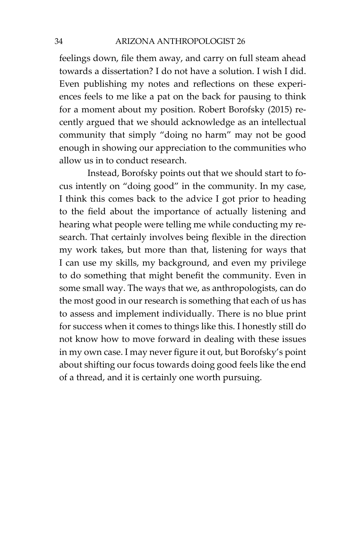feelings down, file them away, and carry on full steam ahead towards a dissertation? I do not have a solution. I wish I did. Even publishing my notes and reflections on these experiences feels to me like a pat on the back for pausing to think for a moment about my position. Robert Borofsky (2015) recently argued that we should acknowledge as an intellectual community that simply "doing no harm" may not be good enough in showing our appreciation to the communities who allow us in to conduct research.

Instead, Borofsky points out that we should start to focus intently on "doing good" in the community. In my case, I think this comes back to the advice I got prior to heading to the field about the importance of actually listening and hearing what people were telling me while conducting my research. That certainly involves being flexible in the direction my work takes, but more than that, listening for ways that I can use my skills, my background, and even my privilege to do something that might benefit the community. Even in some small way. The ways that we, as anthropologists, can do the most good in our research is something that each of us has to assess and implement individually. There is no blue print for success when it comes to things like this. I honestly still do not know how to move forward in dealing with these issues in my own case. I may never figure it out, but Borofsky's point about shifting our focus towards doing good feels like the end of a thread, and it is certainly one worth pursuing.